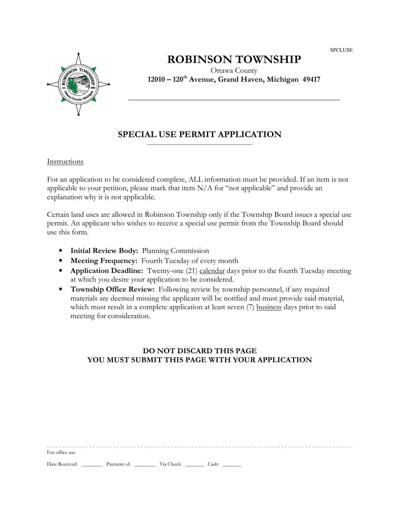SPCLUSE



# ROBINSON TOWNSHIP

Ottawa County 12010 – 120th Avenue, Grand Haven, Michigan 49417

\_\_\_\_\_\_\_\_\_\_\_\_\_\_\_\_\_\_\_\_\_\_\_\_\_\_\_\_\_\_\_\_\_\_\_\_\_\_\_\_\_\_\_\_\_\_\_\_\_\_\_\_\_\_

## SPECIAL USE PERMIT APPLICATION \_\_\_\_\_\_\_\_\_\_\_\_\_\_\_\_\_\_\_\_\_\_\_\_\_\_\_\_\_\_\_\_\_\_\_\_\_\_\_\_

### Instructions

For an application to be considered complete, ALL information must be provided. If an item is not applicable to your petition, please mark that item  $N/A$  for "not applicable" and provide an explanation why it is not applicable.

Certain land uses are allowed in Robinson Township only if the Township Board issues a special use permit. An applicant who wishes to receive a special use permit from the Township Board should use this form.

- Initial Review Body: Planning Commission
- Meeting Frequency: Fourth Tuesday of every month
- Application Deadline: Twenty-one (21) calendar days prior to the fourth Tuesday meeting at which you desire your application to be considered.
- Township Office Review: Following review by township personnel, if any required materials are deemed missing the applicant will be notified and must provide said material, which must result in a complete application at least seven (7) business days prior to said meeting for consideration.

## DO NOT DISCARD THIS PAGE YOU MUST SUBMIT THIS PAGE WITH YOUR APPLICATION

| For office use |             |            |       |  |  |  |  |  |
|----------------|-------------|------------|-------|--|--|--|--|--|
| Date Received: | Payment of: | Via Check: | Cash: |  |  |  |  |  |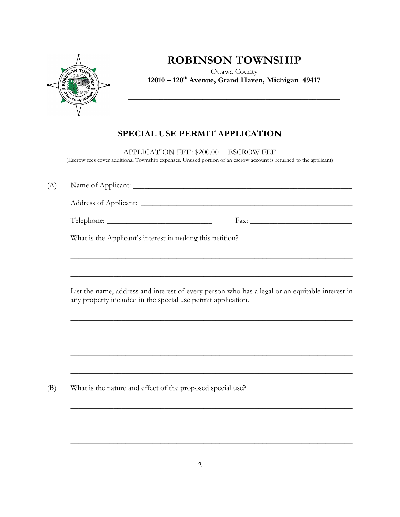

## ROBINSON TOWNSHIP

Ottawa County 12010 – 120<sup>th</sup> Avenue, Grand Haven, Michigan 49417

\_\_\_\_\_\_\_\_\_\_\_\_\_\_\_\_\_\_\_\_\_\_\_\_\_\_\_\_\_\_\_\_\_\_\_\_\_\_\_\_\_\_\_\_\_\_\_\_\_\_\_\_\_\_

### SPECIAL USE PERMIT APPLICATION  $\overline{\phantom{a}}$  , and the set of the set of the set of the set of the set of the set of the set of the set of the set of the set of the set of the set of the set of the set of the set of the set of the set of the set of the s

APPLICATION FEE: \$200.00 + ESCROW FEE (Escrow fees cover additional Township expenses. Unused portion of an escrow account is returned to the applicant)

| (A) |                                                                                                                                                                 |  |  |  |  |  |  |  |  |
|-----|-----------------------------------------------------------------------------------------------------------------------------------------------------------------|--|--|--|--|--|--|--|--|
|     |                                                                                                                                                                 |  |  |  |  |  |  |  |  |
|     |                                                                                                                                                                 |  |  |  |  |  |  |  |  |
|     | What is the Applicant's interest in making this petition? _______________________                                                                               |  |  |  |  |  |  |  |  |
|     |                                                                                                                                                                 |  |  |  |  |  |  |  |  |
|     | List the name, address and interest of every person who has a legal or an equitable interest in<br>any property included in the special use permit application. |  |  |  |  |  |  |  |  |
|     |                                                                                                                                                                 |  |  |  |  |  |  |  |  |
|     | ,我们也不能在这里的人,我们也不能在这里的人,我们也不能在这里的人,我们也不能在这里的人,我们也不能在这里的人,我们也不能在这里的人,我们也不能在这里的人,我们也                                                                               |  |  |  |  |  |  |  |  |
|     | <u> 1999 - Jan James James James James James James James James James James James James James James James James J</u>                                            |  |  |  |  |  |  |  |  |
| (B) | What is the nature and effect of the proposed special use? ______________________                                                                               |  |  |  |  |  |  |  |  |
|     |                                                                                                                                                                 |  |  |  |  |  |  |  |  |
|     |                                                                                                                                                                 |  |  |  |  |  |  |  |  |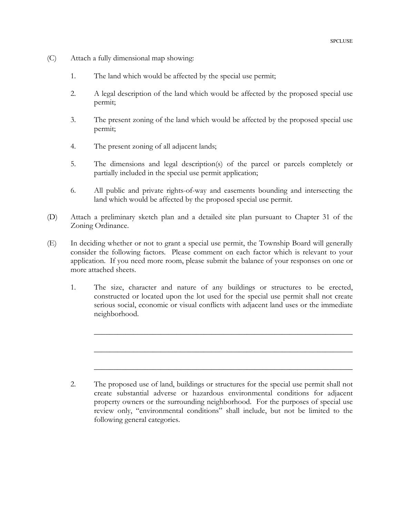- (C) Attach a fully dimensional map showing:
	- 1. The land which would be affected by the special use permit;
	- 2. A legal description of the land which would be affected by the proposed special use permit;
	- 3. The present zoning of the land which would be affected by the proposed special use permit;
	- 4. The present zoning of all adjacent lands;
	- 5. The dimensions and legal description(s) of the parcel or parcels completely or partially included in the special use permit application;
	- 6. All public and private rights-of-way and easements bounding and intersecting the land which would be affected by the proposed special use permit.
- (D) Attach a preliminary sketch plan and a detailed site plan pursuant to Chapter 31 of the Zoning Ordinance.
- (E) In deciding whether or not to grant a special use permit, the Township Board will generally consider the following factors. Please comment on each factor which is relevant to your application. If you need more room, please submit the balance of your responses on one or more attached sheets.

 $\mathcal{L}_\mathcal{L} = \mathcal{L}_\mathcal{L} = \mathcal{L}_\mathcal{L} = \mathcal{L}_\mathcal{L} = \mathcal{L}_\mathcal{L} = \mathcal{L}_\mathcal{L} = \mathcal{L}_\mathcal{L} = \mathcal{L}_\mathcal{L} = \mathcal{L}_\mathcal{L} = \mathcal{L}_\mathcal{L} = \mathcal{L}_\mathcal{L} = \mathcal{L}_\mathcal{L} = \mathcal{L}_\mathcal{L} = \mathcal{L}_\mathcal{L} = \mathcal{L}_\mathcal{L} = \mathcal{L}_\mathcal{L} = \mathcal{L}_\mathcal{L}$ 

 $\mathcal{L}_\mathcal{L} = \mathcal{L}_\mathcal{L} = \mathcal{L}_\mathcal{L} = \mathcal{L}_\mathcal{L} = \mathcal{L}_\mathcal{L} = \mathcal{L}_\mathcal{L} = \mathcal{L}_\mathcal{L} = \mathcal{L}_\mathcal{L} = \mathcal{L}_\mathcal{L} = \mathcal{L}_\mathcal{L} = \mathcal{L}_\mathcal{L} = \mathcal{L}_\mathcal{L} = \mathcal{L}_\mathcal{L} = \mathcal{L}_\mathcal{L} = \mathcal{L}_\mathcal{L} = \mathcal{L}_\mathcal{L} = \mathcal{L}_\mathcal{L}$ 

 $\mathcal{L}_\mathcal{L} = \mathcal{L}_\mathcal{L} = \mathcal{L}_\mathcal{L} = \mathcal{L}_\mathcal{L} = \mathcal{L}_\mathcal{L} = \mathcal{L}_\mathcal{L} = \mathcal{L}_\mathcal{L} = \mathcal{L}_\mathcal{L} = \mathcal{L}_\mathcal{L} = \mathcal{L}_\mathcal{L} = \mathcal{L}_\mathcal{L} = \mathcal{L}_\mathcal{L} = \mathcal{L}_\mathcal{L} = \mathcal{L}_\mathcal{L} = \mathcal{L}_\mathcal{L} = \mathcal{L}_\mathcal{L} = \mathcal{L}_\mathcal{L}$ 

1. The size, character and nature of any buildings or structures to be erected, constructed or located upon the lot used for the special use permit shall not create serious social, economic or visual conflicts with adjacent land uses or the immediate neighborhood.

<sup>2.</sup> The proposed use of land, buildings or structures for the special use permit shall not create substantial adverse or hazardous environmental conditions for adjacent property owners or the surrounding neighborhood. For the purposes of special use review only, "environmental conditions" shall include, but not be limited to the following general categories.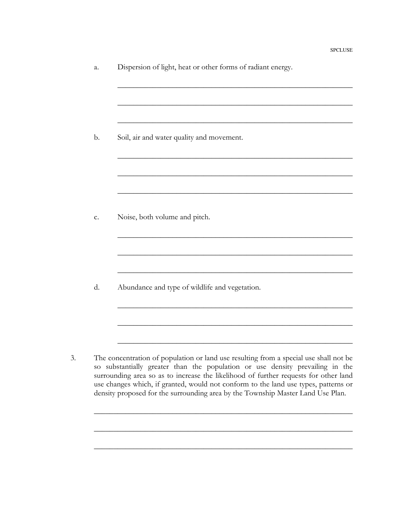| а. | Dispersion of light, heat or other forms of radiant energy. |  |  |  |
|----|-------------------------------------------------------------|--|--|--|
|    |                                                             |  |  |  |

 $\mathcal{L}_\text{max}$  , and the contract of the contract of the contract of the contract of the contract of the contract of the contract of the contract of the contract of the contract of the contract of the contract of the contr

 $\mathcal{L}_\text{max}$  , and the contract of the contract of the contract of the contract of the contract of the contract of the contract of the contract of the contract of the contract of the contract of the contract of the contr

 $\mathcal{L}_\text{max}$  , and the contract of the contract of the contract of the contract of the contract of the contract of the contract of the contract of the contract of the contract of the contract of the contract of the contr

 $\mathcal{L}_\text{max}$  , and the contract of the contract of the contract of the contract of the contract of the contract of the contract of the contract of the contract of the contract of the contract of the contract of the contr

 $\mathcal{L}_\text{max}$  , and the contract of the contract of the contract of the contract of the contract of the contract of the contract of the contract of the contract of the contract of the contract of the contract of the contr

 $\mathcal{L}_\text{max}$  , and the contract of the contract of the contract of the contract of the contract of the contract of the contract of the contract of the contract of the contract of the contract of the contract of the contr

 $\mathcal{L}_\text{max}$  , and the contract of the contract of the contract of the contract of the contract of the contract of the contract of the contract of the contract of the contract of the contract of the contract of the contr

 $\mathcal{L}_\text{max}$  , and the contract of the contract of the contract of the contract of the contract of the contract of the contract of the contract of the contract of the contract of the contract of the contract of the contr

 $\mathcal{L}_\text{max}$  , and the contract of the contract of the contract of the contract of the contract of the contract of the contract of the contract of the contract of the contract of the contract of the contract of the contr

 $\mathcal{L}_\text{max}$  , and the contract of the contract of the contract of the contract of the contract of the contract of the contract of the contract of the contract of the contract of the contract of the contract of the contr

 $\mathcal{L}_\text{max}$  , and the contract of the contract of the contract of the contract of the contract of the contract of the contract of the contract of the contract of the contract of the contract of the contract of the contr

 $\mathcal{L}_\text{max}$  , and the contract of the contract of the contract of the contract of the contract of the contract of the contract of the contract of the contract of the contract of the contract of the contract of the contr

 $\mathcal{L}_\mathcal{L} = \mathcal{L}_\mathcal{L} = \mathcal{L}_\mathcal{L} = \mathcal{L}_\mathcal{L} = \mathcal{L}_\mathcal{L} = \mathcal{L}_\mathcal{L} = \mathcal{L}_\mathcal{L} = \mathcal{L}_\mathcal{L} = \mathcal{L}_\mathcal{L} = \mathcal{L}_\mathcal{L} = \mathcal{L}_\mathcal{L} = \mathcal{L}_\mathcal{L} = \mathcal{L}_\mathcal{L} = \mathcal{L}_\mathcal{L} = \mathcal{L}_\mathcal{L} = \mathcal{L}_\mathcal{L} = \mathcal{L}_\mathcal{L}$ 

 $\mathcal{L}_\mathcal{L} = \mathcal{L}_\mathcal{L} = \mathcal{L}_\mathcal{L} = \mathcal{L}_\mathcal{L} = \mathcal{L}_\mathcal{L} = \mathcal{L}_\mathcal{L} = \mathcal{L}_\mathcal{L} = \mathcal{L}_\mathcal{L} = \mathcal{L}_\mathcal{L} = \mathcal{L}_\mathcal{L} = \mathcal{L}_\mathcal{L} = \mathcal{L}_\mathcal{L} = \mathcal{L}_\mathcal{L} = \mathcal{L}_\mathcal{L} = \mathcal{L}_\mathcal{L} = \mathcal{L}_\mathcal{L} = \mathcal{L}_\mathcal{L}$ 

 $\mathcal{L}_\mathcal{L} = \mathcal{L}_\mathcal{L} = \mathcal{L}_\mathcal{L} = \mathcal{L}_\mathcal{L} = \mathcal{L}_\mathcal{L} = \mathcal{L}_\mathcal{L} = \mathcal{L}_\mathcal{L} = \mathcal{L}_\mathcal{L} = \mathcal{L}_\mathcal{L} = \mathcal{L}_\mathcal{L} = \mathcal{L}_\mathcal{L} = \mathcal{L}_\mathcal{L} = \mathcal{L}_\mathcal{L} = \mathcal{L}_\mathcal{L} = \mathcal{L}_\mathcal{L} = \mathcal{L}_\mathcal{L} = \mathcal{L}_\mathcal{L}$ 

c. Noise, both volume and pitch.

d. Abundance and type of wildlife and vegetation.

3. The concentration of population or land use resulting from a special use shall not be so substantially greater than the population or use density prevailing in the surrounding area so as to increase the likelihood of further requests for other land use changes which, if granted, would not conform to the land use types, patterns or density proposed for the surrounding area by the Township Master Land Use Plan.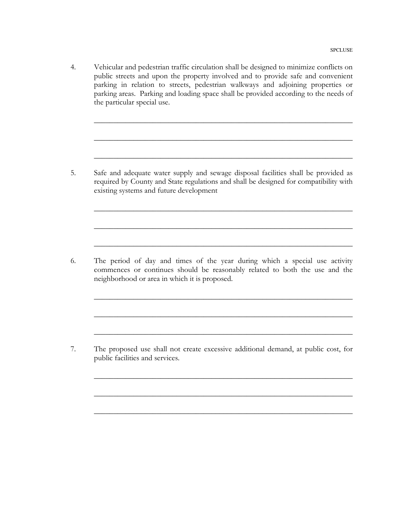4. Vehicular and pedestrian traffic circulation shall be designed to minimize conflicts on public streets and upon the property involved and to provide safe and convenient parking in relation to streets, pedestrian walkways and adjoining properties or parking areas. Parking and loading space shall be provided according to the needs of the particular special use.

 $\mathcal{L}_\mathcal{L} = \mathcal{L}_\mathcal{L} = \mathcal{L}_\mathcal{L} = \mathcal{L}_\mathcal{L} = \mathcal{L}_\mathcal{L} = \mathcal{L}_\mathcal{L} = \mathcal{L}_\mathcal{L} = \mathcal{L}_\mathcal{L} = \mathcal{L}_\mathcal{L} = \mathcal{L}_\mathcal{L} = \mathcal{L}_\mathcal{L} = \mathcal{L}_\mathcal{L} = \mathcal{L}_\mathcal{L} = \mathcal{L}_\mathcal{L} = \mathcal{L}_\mathcal{L} = \mathcal{L}_\mathcal{L} = \mathcal{L}_\mathcal{L}$ 

 $\mathcal{L}_\mathcal{L} = \mathcal{L}_\mathcal{L} = \mathcal{L}_\mathcal{L} = \mathcal{L}_\mathcal{L} = \mathcal{L}_\mathcal{L} = \mathcal{L}_\mathcal{L} = \mathcal{L}_\mathcal{L} = \mathcal{L}_\mathcal{L} = \mathcal{L}_\mathcal{L} = \mathcal{L}_\mathcal{L} = \mathcal{L}_\mathcal{L} = \mathcal{L}_\mathcal{L} = \mathcal{L}_\mathcal{L} = \mathcal{L}_\mathcal{L} = \mathcal{L}_\mathcal{L} = \mathcal{L}_\mathcal{L} = \mathcal{L}_\mathcal{L}$ 

 $\mathcal{L}_\mathcal{L} = \mathcal{L}_\mathcal{L} = \mathcal{L}_\mathcal{L} = \mathcal{L}_\mathcal{L} = \mathcal{L}_\mathcal{L} = \mathcal{L}_\mathcal{L} = \mathcal{L}_\mathcal{L} = \mathcal{L}_\mathcal{L} = \mathcal{L}_\mathcal{L} = \mathcal{L}_\mathcal{L} = \mathcal{L}_\mathcal{L} = \mathcal{L}_\mathcal{L} = \mathcal{L}_\mathcal{L} = \mathcal{L}_\mathcal{L} = \mathcal{L}_\mathcal{L} = \mathcal{L}_\mathcal{L} = \mathcal{L}_\mathcal{L}$ 

 $\mathcal{L}_\mathcal{L} = \mathcal{L}_\mathcal{L} = \mathcal{L}_\mathcal{L} = \mathcal{L}_\mathcal{L} = \mathcal{L}_\mathcal{L} = \mathcal{L}_\mathcal{L} = \mathcal{L}_\mathcal{L} = \mathcal{L}_\mathcal{L} = \mathcal{L}_\mathcal{L} = \mathcal{L}_\mathcal{L} = \mathcal{L}_\mathcal{L} = \mathcal{L}_\mathcal{L} = \mathcal{L}_\mathcal{L} = \mathcal{L}_\mathcal{L} = \mathcal{L}_\mathcal{L} = \mathcal{L}_\mathcal{L} = \mathcal{L}_\mathcal{L}$ 

 $\mathcal{L}_\mathcal{L} = \mathcal{L}_\mathcal{L} = \mathcal{L}_\mathcal{L} = \mathcal{L}_\mathcal{L} = \mathcal{L}_\mathcal{L} = \mathcal{L}_\mathcal{L} = \mathcal{L}_\mathcal{L} = \mathcal{L}_\mathcal{L} = \mathcal{L}_\mathcal{L} = \mathcal{L}_\mathcal{L} = \mathcal{L}_\mathcal{L} = \mathcal{L}_\mathcal{L} = \mathcal{L}_\mathcal{L} = \mathcal{L}_\mathcal{L} = \mathcal{L}_\mathcal{L} = \mathcal{L}_\mathcal{L} = \mathcal{L}_\mathcal{L}$ 

 $\mathcal{L}_\mathcal{L} = \mathcal{L}_\mathcal{L} = \mathcal{L}_\mathcal{L} = \mathcal{L}_\mathcal{L} = \mathcal{L}_\mathcal{L} = \mathcal{L}_\mathcal{L} = \mathcal{L}_\mathcal{L} = \mathcal{L}_\mathcal{L} = \mathcal{L}_\mathcal{L} = \mathcal{L}_\mathcal{L} = \mathcal{L}_\mathcal{L} = \mathcal{L}_\mathcal{L} = \mathcal{L}_\mathcal{L} = \mathcal{L}_\mathcal{L} = \mathcal{L}_\mathcal{L} = \mathcal{L}_\mathcal{L} = \mathcal{L}_\mathcal{L}$ 

 $\mathcal{L}_\mathcal{L} = \mathcal{L}_\mathcal{L} = \mathcal{L}_\mathcal{L} = \mathcal{L}_\mathcal{L} = \mathcal{L}_\mathcal{L} = \mathcal{L}_\mathcal{L} = \mathcal{L}_\mathcal{L} = \mathcal{L}_\mathcal{L} = \mathcal{L}_\mathcal{L} = \mathcal{L}_\mathcal{L} = \mathcal{L}_\mathcal{L} = \mathcal{L}_\mathcal{L} = \mathcal{L}_\mathcal{L} = \mathcal{L}_\mathcal{L} = \mathcal{L}_\mathcal{L} = \mathcal{L}_\mathcal{L} = \mathcal{L}_\mathcal{L}$ 

 $\mathcal{L}_\mathcal{L} = \mathcal{L}_\mathcal{L} = \mathcal{L}_\mathcal{L} = \mathcal{L}_\mathcal{L} = \mathcal{L}_\mathcal{L} = \mathcal{L}_\mathcal{L} = \mathcal{L}_\mathcal{L} = \mathcal{L}_\mathcal{L} = \mathcal{L}_\mathcal{L} = \mathcal{L}_\mathcal{L} = \mathcal{L}_\mathcal{L} = \mathcal{L}_\mathcal{L} = \mathcal{L}_\mathcal{L} = \mathcal{L}_\mathcal{L} = \mathcal{L}_\mathcal{L} = \mathcal{L}_\mathcal{L} = \mathcal{L}_\mathcal{L}$ 

 $\mathcal{L}_\mathcal{L} = \mathcal{L}_\mathcal{L} = \mathcal{L}_\mathcal{L} = \mathcal{L}_\mathcal{L} = \mathcal{L}_\mathcal{L} = \mathcal{L}_\mathcal{L} = \mathcal{L}_\mathcal{L} = \mathcal{L}_\mathcal{L} = \mathcal{L}_\mathcal{L} = \mathcal{L}_\mathcal{L} = \mathcal{L}_\mathcal{L} = \mathcal{L}_\mathcal{L} = \mathcal{L}_\mathcal{L} = \mathcal{L}_\mathcal{L} = \mathcal{L}_\mathcal{L} = \mathcal{L}_\mathcal{L} = \mathcal{L}_\mathcal{L}$ 

 $\mathcal{L}_\mathcal{L} = \mathcal{L}_\mathcal{L} = \mathcal{L}_\mathcal{L} = \mathcal{L}_\mathcal{L} = \mathcal{L}_\mathcal{L} = \mathcal{L}_\mathcal{L} = \mathcal{L}_\mathcal{L} = \mathcal{L}_\mathcal{L} = \mathcal{L}_\mathcal{L} = \mathcal{L}_\mathcal{L} = \mathcal{L}_\mathcal{L} = \mathcal{L}_\mathcal{L} = \mathcal{L}_\mathcal{L} = \mathcal{L}_\mathcal{L} = \mathcal{L}_\mathcal{L} = \mathcal{L}_\mathcal{L} = \mathcal{L}_\mathcal{L}$ 

 $\mathcal{L}_\mathcal{L} = \mathcal{L}_\mathcal{L} = \mathcal{L}_\mathcal{L} = \mathcal{L}_\mathcal{L} = \mathcal{L}_\mathcal{L} = \mathcal{L}_\mathcal{L} = \mathcal{L}_\mathcal{L} = \mathcal{L}_\mathcal{L} = \mathcal{L}_\mathcal{L} = \mathcal{L}_\mathcal{L} = \mathcal{L}_\mathcal{L} = \mathcal{L}_\mathcal{L} = \mathcal{L}_\mathcal{L} = \mathcal{L}_\mathcal{L} = \mathcal{L}_\mathcal{L} = \mathcal{L}_\mathcal{L} = \mathcal{L}_\mathcal{L}$ 

5. Safe and adequate water supply and sewage disposal facilities shall be provided as required by County and State regulations and shall be designed for compatibility with existing systems and future development

 $\mathcal{L}=\mathcal{L}=\mathcal{L}=\mathcal{L}=\mathcal{L}=\mathcal{L}=\mathcal{L}=\mathcal{L}=\mathcal{L}=\mathcal{L}=\mathcal{L}=\mathcal{L}=\mathcal{L}=\mathcal{L}=\mathcal{L}=\mathcal{L}=\mathcal{L}=\mathcal{L}=\mathcal{L}=\mathcal{L}=\mathcal{L}=\mathcal{L}=\mathcal{L}=\mathcal{L}=\mathcal{L}=\mathcal{L}=\mathcal{L}=\mathcal{L}=\mathcal{L}=\mathcal{L}=\mathcal{L}=\mathcal{L}=\mathcal{L}=\mathcal{L}=\mathcal{L}=\mathcal{L}=\mathcal{$ 

6. The period of day and times of the year during which a special use activity commences or continues should be reasonably related to both the use and the neighborhood or area in which it is proposed.

7. The proposed use shall not create excessive additional demand, at public cost, for public facilities and services.